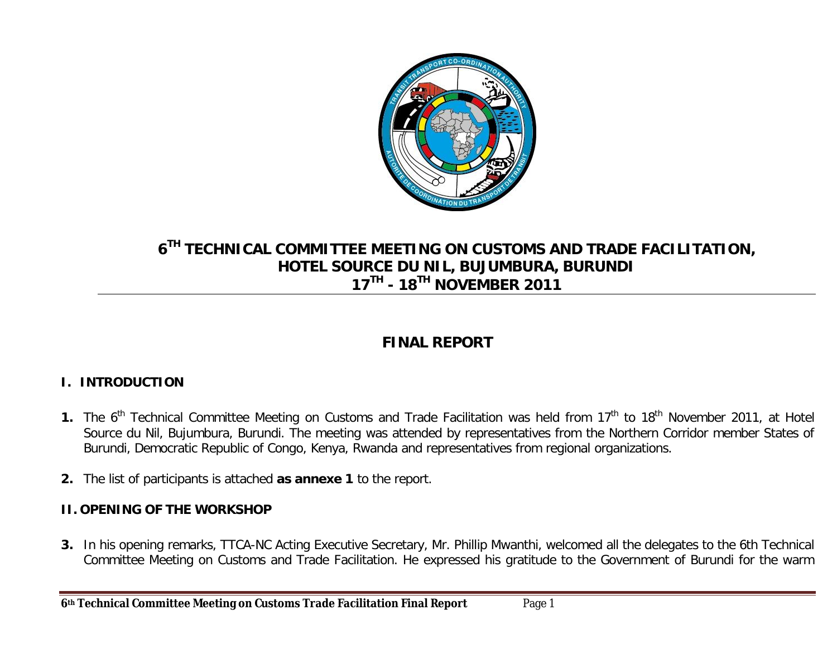

# **6 TH TECHNICAL COMMITTEE MEETING ON CUSTOMS AND TRADE FACILITATION, HOTEL SOURCE DU NIL, BUJUMBURA, BURUNDI 17TH - 18TH NOVEMBER 2011**

# **FINAL REPORT**

# **I. INTRODUCTION**

- **1.** The 6<sup>th</sup> Technical Committee Meeting on Customs and Trade Facilitation was held from 17<sup>th</sup> to 18<sup>th</sup> November 2011, at Hotel Source du Nil, Bujumbura, Burundi. The meeting was attended by representatives from the Northern Corridor member States of Burundi, Democratic Republic of Congo, Kenya, Rwanda and representatives from regional organizations.
- **2.** The list of participants is attached **as annexe 1** to the report.

## **II. OPENING OF THE WORKSHOP**

**3.** In his opening remarks, TTCA-NC Acting Executive Secretary, Mr. Phillip Mwanthi, welcomed all the delegates to the 6th Technical Committee Meeting on Customs and Trade Facilitation. He expressed his gratitude to the Government of Burundi for the warm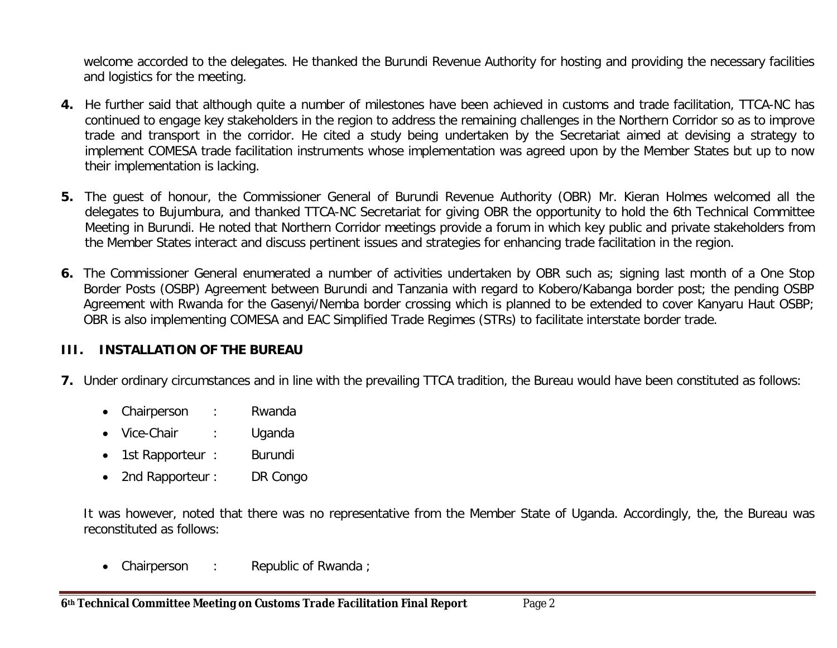welcome accorded to the delegates. He thanked the Burundi Revenue Authority for hosting and providing the necessary facilities and logistics for the meeting.

- **4.** He further said that although quite a number of milestones have been achieved in customs and trade facilitation, TTCA-NC has continued to engage key stakeholders in the region to address the remaining challenges in the Northern Corridor so as to improve trade and transport in the corridor. He cited a study being undertaken by the Secretariat aimed at devising a strategy to implement COMESA trade facilitation instruments whose implementation was agreed upon by the Member States but up to now their implementation is lacking.
- **5.** The guest of honour, the Commissioner General of Burundi Revenue Authority (OBR) Mr. Kieran Holmes welcomed all the delegates to Bujumbura, and thanked TTCA-NC Secretariat for giving OBR the opportunity to hold the 6th Technical Committee Meeting in Burundi. He noted that Northern Corridor meetings provide a forum in which key public and private stakeholders from the Member States interact and discuss pertinent issues and strategies for enhancing trade facilitation in the region.
- **6.** The Commissioner General enumerated a number of activities undertaken by OBR such as; signing last month of a One Stop Border Posts (OSBP) Agreement between Burundi and Tanzania with regard to Kobero/Kabanga border post; the pending OSBP Agreement with Rwanda for the Gasenyi/Nemba border crossing which is planned to be extended to cover Kanyaru Haut OSBP; OBR is also implementing COMESA and EAC Simplified Trade Regimes (STRs) to facilitate interstate border trade.

# **III. INSTALLATION OF THE BUREAU**

- **7.** Under ordinary circumstances and in line with the prevailing TTCA tradition, the Bureau would have been constituted as follows:
	- Chairperson : Rwanda
	- Vice-Chair : Uganda
	- 1st Rapporteur : Burundi
	- 2nd Rapporteur : DR Congo

It was however, noted that there was no representative from the Member State of Uganda. Accordingly, the, the Bureau was reconstituted as follows:

• Chairperson : Republic of Rwanda ;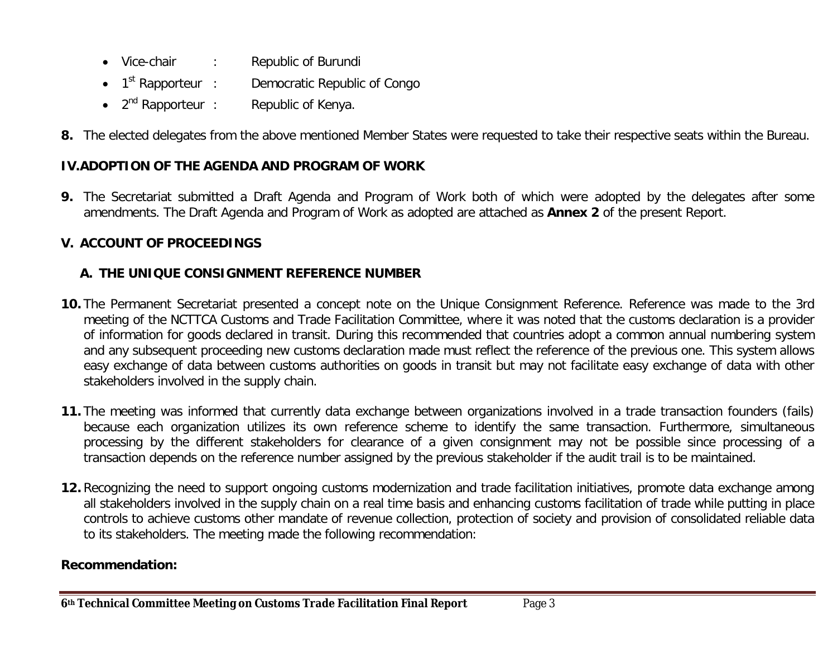- Vice-chair : Republic of Burundi
- $\bullet$  1<sup>st</sup> Rapporteur : Democratic Republic of Congo
- $2^{nd}$  Rapporteur : Republic of Kenya.
- **8.** The elected delegates from the above mentioned Member States were requested to take their respective seats within the Bureau.

# **IV.ADOPTION OF THE AGENDA AND PROGRAM OF WORK**

**9.** The Secretariat submitted a Draft Agenda and Program of Work both of which were adopted by the delegates after some amendments. The Draft Agenda and Program of Work as adopted are attached as **Annex 2** of the present Report.

# **V. ACCOUNT OF PROCEEDINGS**

# **A. THE UNIQUE CONSIGNMENT REFERENCE NUMBER**

- **10.** The Permanent Secretariat presented a concept note on the Unique Consignment Reference. Reference was made to the 3rd meeting of the NCTTCA Customs and Trade Facilitation Committee, where it was noted that the customs declaration is a provider of information for goods declared in transit. During this recommended that countries adopt a common annual numbering system and any subsequent proceeding new customs declaration made must reflect the reference of the previous one. This system allows easy exchange of data between customs authorities on goods in transit but may not facilitate easy exchange of data with other stakeholders involved in the supply chain.
- **11.** The meeting was informed that currently data exchange between organizations involved in a trade transaction founders (fails) because each organization utilizes its own reference scheme to identify the same transaction. Furthermore, simultaneous processing by the different stakeholders for clearance of a given consignment may not be possible since processing of a transaction depends on the reference number assigned by the previous stakeholder if the audit trail is to be maintained.
- **12.** Recognizing the need to support ongoing customs modernization and trade facilitation initiatives, promote data exchange among all stakeholders involved in the supply chain on a real time basis and enhancing customs facilitation of trade while putting in place controls to achieve customs other mandate of revenue collection, protection of society and provision of consolidated reliable data to its stakeholders. The meeting made the following recommendation:

### **Recommendation:**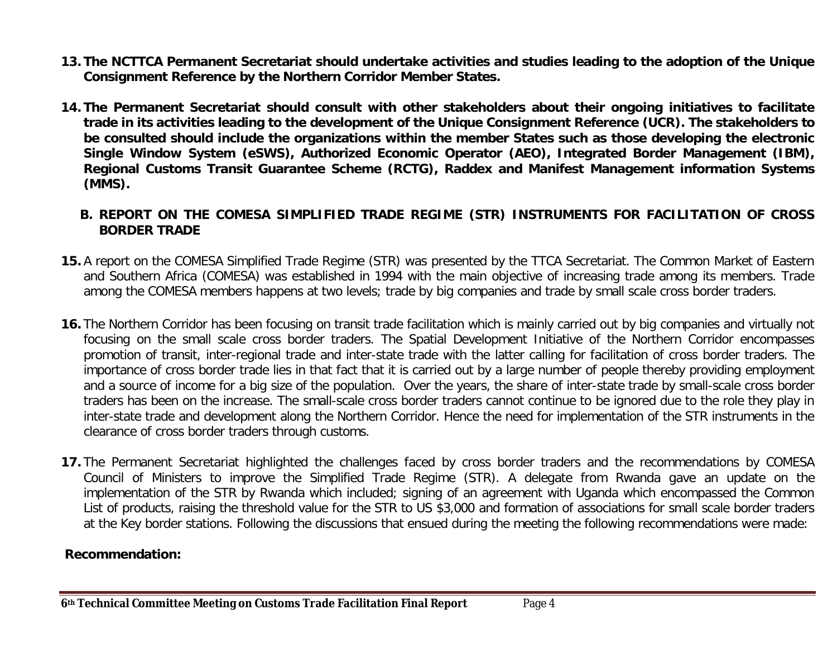- **13. The NCTTCA Permanent Secretariat should undertake activities and studies leading to the adoption of the Unique Consignment Reference by the Northern Corridor Member States.**
- **14. The Permanent Secretariat should consult with other stakeholders about their ongoing initiatives to facilitate trade in its activities leading to the development of the Unique Consignment Reference (UCR). The stakeholders to be consulted should include the organizations within the member States such as those developing the electronic Single Window System (eSWS), Authorized Economic Operator (AEO), Integrated Border Management (IBM), Regional Customs Transit Guarantee Scheme (RCTG), Raddex and Manifest Management information Systems (MMS).**

## **B. REPORT ON THE COMESA SIMPLIFIED TRADE REGIME (STR) INSTRUMENTS FOR FACILITATION OF CROSS BORDER TRADE**

- **15.** A report on the COMESA Simplified Trade Regime (STR) was presented by the TTCA Secretariat. The Common Market of Eastern and Southern Africa (COMESA) was established in 1994 with the main objective of increasing trade among its members. Trade among the COMESA members happens at two levels; trade by big companies and trade by small scale cross border traders.
- **16.** The Northern Corridor has been focusing on transit trade facilitation which is mainly carried out by big companies and virtually not focusing on the small scale cross border traders. The Spatial Development Initiative of the Northern Corridor encompasses promotion of transit, inter-regional trade and inter-state trade with the latter calling for facilitation of cross border traders. The importance of cross border trade lies in that fact that it is carried out by a large number of people thereby providing employment and a source of income for a big size of the population. Over the years, the share of inter-state trade by small-scale cross border traders has been on the increase. The small-scale cross border traders cannot continue to be ignored due to the role they play in inter-state trade and development along the Northern Corridor. Hence the need for implementation of the STR instruments in the clearance of cross border traders through customs.
- **17.** The Permanent Secretariat highlighted the challenges faced by cross border traders and the recommendations by COMESA Council of Ministers to improve the Simplified Trade Regime (STR). A delegate from Rwanda gave an update on the implementation of the STR by Rwanda which included; signing of an agreement with Uganda which encompassed the Common List of products, raising the threshold value for the STR to US \$3,000 and formation of associations for small scale border traders at the Key border stations. Following the discussions that ensued during the meeting the following recommendations were made:

## **Recommendation:**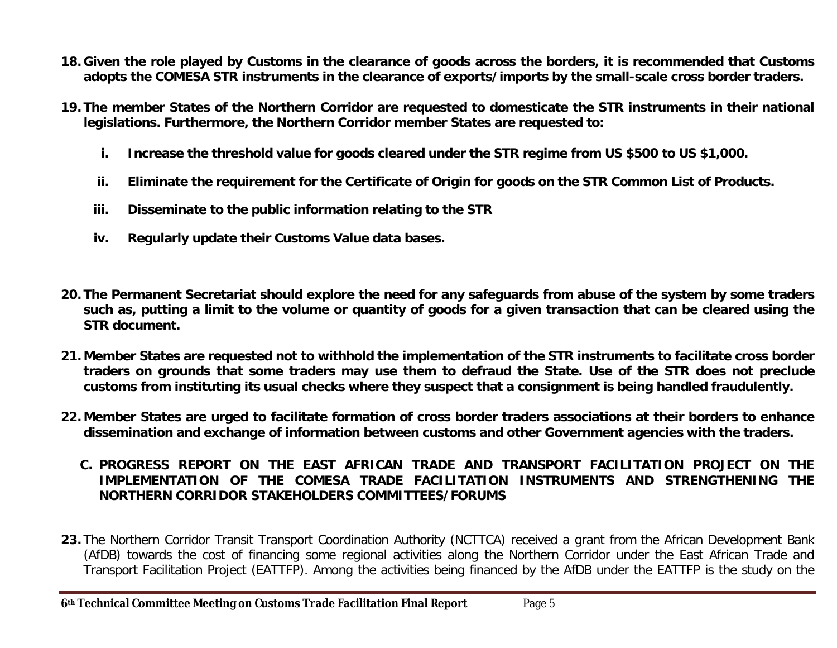- **18. Given the role played by Customs in the clearance of goods across the borders, it is recommended that Customs adopts the COMESA STR instruments in the clearance of exports/imports by the small-scale cross border traders.**
- **19. The member States of the Northern Corridor are requested to domesticate the STR instruments in their national legislations. Furthermore, the Northern Corridor member States are requested to:**
	- **i. Increase the threshold value for goods cleared under the STR regime from US \$500 to US \$1,000.**
	- **ii. Eliminate the requirement for the Certificate of Origin for goods on the STR Common List of Products.**
	- **iii. Disseminate to the public information relating to the STR**
	- **iv. Regularly update their Customs Value data bases.**
- **20. The Permanent Secretariat should explore the need for any safeguards from abuse of the system by some traders such as, putting a limit to the volume or quantity of goods for a given transaction that can be cleared using the STR document.**
- **21. Member States are requested not to withhold the implementation of the STR instruments to facilitate cross border traders on grounds that some traders may use them to defraud the State. Use of the STR does not preclude customs from instituting its usual checks where they suspect that a consignment is being handled fraudulently.**
- **22. Member States are urged to facilitate formation of cross border traders associations at their borders to enhance dissemination and exchange of information between customs and other Government agencies with the traders.**
	- **C. PROGRESS REPORT ON THE EAST AFRICAN TRADE AND TRANSPORT FACILITATION PROJECT ON THE IMPLEMENTATION OF THE COMESA TRADE FACILITATION INSTRUMENTS AND STRENGTHENING THE NORTHERN CORRIDOR STAKEHOLDERS COMMITTEES/FORUMS**
- **23.** The Northern Corridor Transit Transport Coordination Authority (NCTTCA) received a grant from the African Development Bank (AfDB) towards the cost of financing some regional activities along the Northern Corridor under the East African Trade and Transport Facilitation Project (EATTFP). Among the activities being financed by the AfDB under the EATTFP is the study on the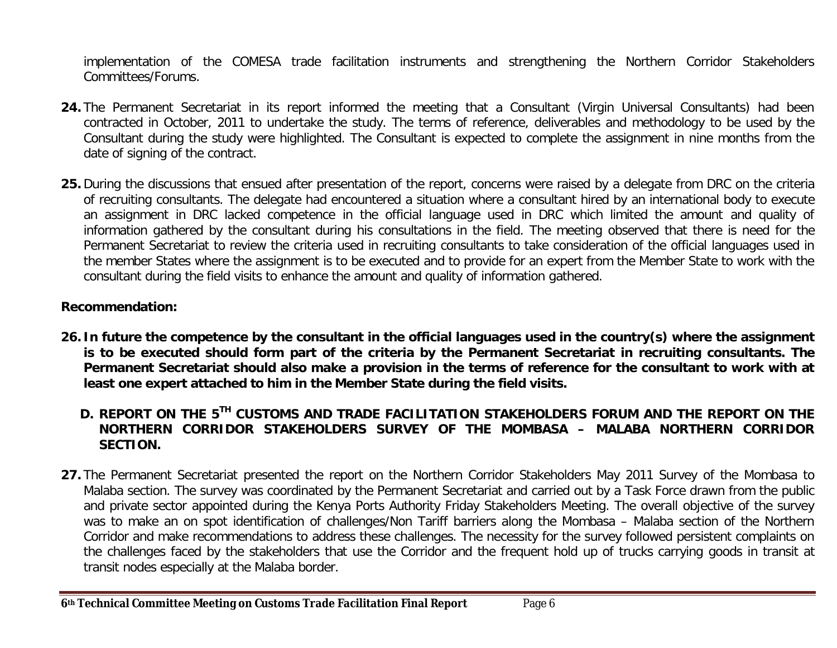implementation of the COMESA trade facilitation instruments and strengthening the Northern Corridor Stakeholders Committees/Forums.

- **24.** The Permanent Secretariat in its report informed the meeting that a Consultant (Virgin Universal Consultants) had been contracted in October, 2011 to undertake the study. The terms of reference, deliverables and methodology to be used by the Consultant during the study were highlighted. The Consultant is expected to complete the assignment in nine months from the date of signing of the contract.
- **25.** During the discussions that ensued after presentation of the report, concerns were raised by a delegate from DRC on the criteria of recruiting consultants. The delegate had encountered a situation where a consultant hired by an international body to execute an assignment in DRC lacked competence in the official language used in DRC which limited the amount and quality of information gathered by the consultant during his consultations in the field. The meeting observed that there is need for the Permanent Secretariat to review the criteria used in recruiting consultants to take consideration of the official languages used in the member States where the assignment is to be executed and to provide for an expert from the Member State to work with the consultant during the field visits to enhance the amount and quality of information gathered.

### **Recommendation:**

- **26. In future the competence by the consultant in the official languages used in the country(s) where the assignment is to be executed should form part of the criteria by the Permanent Secretariat in recruiting consultants. The Permanent Secretariat should also make a provision in the terms of reference for the consultant to work with at least one expert attached to him in the Member State during the field visits.**
	- **D. REPORT ON THE 5TH CUSTOMS AND TRADE FACILITATION STAKEHOLDERS FORUM AND THE REPORT ON THE NORTHERN CORRIDOR STAKEHOLDERS SURVEY OF THE MOMBASA – MALABA NORTHERN CORRIDOR SECTION.**
- **27.** The Permanent Secretariat presented the report on the Northern Corridor Stakeholders May 2011 Survey of the Mombasa to Malaba section. The survey was coordinated by the Permanent Secretariat and carried out by a Task Force drawn from the public and private sector appointed during the Kenya Ports Authority Friday Stakeholders Meeting. The overall objective of the survey was to make an on spot identification of challenges/Non Tariff barriers along the Mombasa – Malaba section of the Northern Corridor and make recommendations to address these challenges. The necessity for the survey followed persistent complaints on the challenges faced by the stakeholders that use the Corridor and the frequent hold up of trucks carrying goods in transit at transit nodes especially at the Malaba border.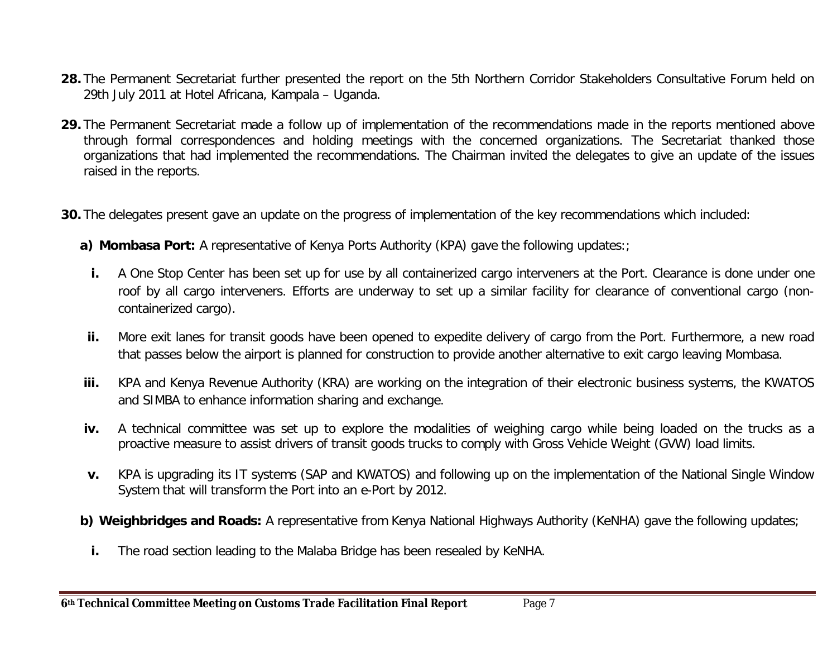- **28.** The Permanent Secretariat further presented the report on the 5th Northern Corridor Stakeholders Consultative Forum held on 29th July 2011 at Hotel Africana, Kampala – Uganda.
- **29.** The Permanent Secretariat made a follow up of implementation of the recommendations made in the reports mentioned above through formal correspondences and holding meetings with the concerned organizations. The Secretariat thanked those organizations that had implemented the recommendations. The Chairman invited the delegates to give an update of the issues raised in the reports.
- **30.** The delegates present gave an update on the progress of implementation of the key recommendations which included:

**a) Mombasa Port:** A representative of Kenya Ports Authority (KPA) gave the following updates:;

- **i.** A One Stop Center has been set up for use by all containerized cargo interveners at the Port. Clearance is done under one roof by all cargo interveners. Efforts are underway to set up a similar facility for clearance of conventional cargo (noncontainerized cargo).
- ii. More exit lanes for transit goods have been opened to expedite delivery of cargo from the Port. Furthermore, a new road that passes below the airport is planned for construction to provide another alternative to exit cargo leaving Mombasa.
- **iii.** KPA and Kenya Revenue Authority (KRA) are working on the integration of their electronic business systems, the KWATOS and SIMBA to enhance information sharing and exchange.
- **iv.** A technical committee was set up to explore the modalities of weighing cargo while being loaded on the trucks as a proactive measure to assist drivers of transit goods trucks to comply with Gross Vehicle Weight (GVW) load limits.
- **v.** KPA is upgrading its IT systems (SAP and KWATOS) and following up on the implementation of the National Single Window System that will transform the Port into an e-Port by 2012.
- **b) Weighbridges and Roads:** A representative from Kenya National Highways Authority (KeNHA) gave the following updates;
	- **i.** The road section leading to the Malaba Bridge has been resealed by KeNHA.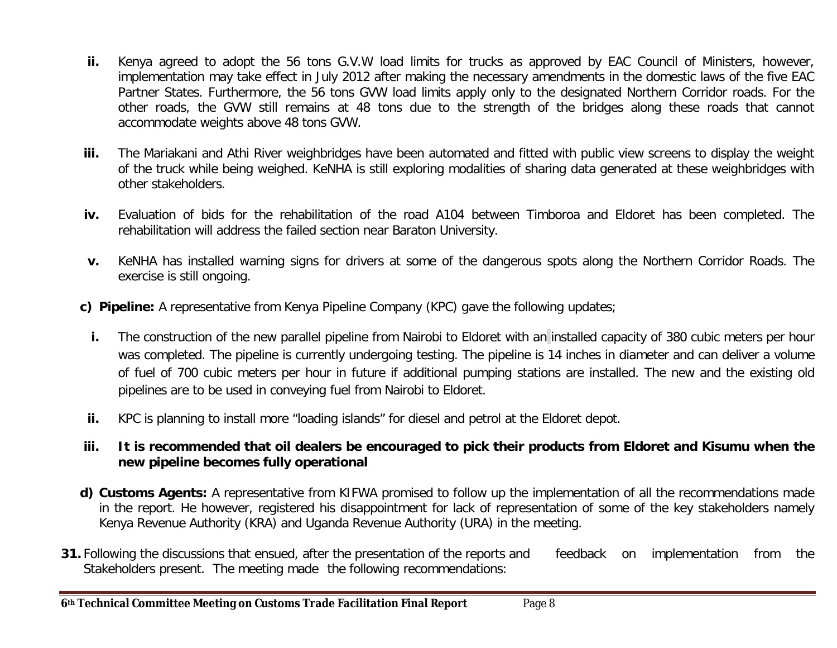- **ii.** Kenya agreed to adopt the 56 tons G.V.W load limits for trucks as approved by EAC Council of Ministers, however, implementation may take effect in July 2012 after making the necessary amendments in the domestic laws of the five EAC Partner States. Furthermore, the 56 tons GVW load limits apply only to the designated Northern Corridor roads. For the other roads, the GVW still remains at 48 tons due to the strength of the bridges along these roads that cannot accommodate weights above 48 tons GVW.
- **iii.** The Mariakani and Athi River weighbridges have been automated and fitted with public view screens to display the weight of the truck while being weighed. KeNHA is still exploring modalities of sharing data generated at these weighbridges with other stakeholders.
- **iv.** Evaluation of bids for the rehabilitation of the road A104 between Timboroa and Eldoret has been completed. The rehabilitation will address the failed section near Baraton University.
- **v.** KeNHA has installed warning signs for drivers at some of the dangerous spots along the Northern Corridor Roads. The exercise is still ongoing.
- **c) Pipeline:** A representative from Kenya Pipeline Company (KPC) gave the following updates;
	- **i.** The construction of the new parallel pipeline from Nairobi to Eldoret with an installed capacity of 380 *cubic meters per hour* was completed. The pipeline is currently undergoing testing. The pipeline is 14 inches in diameter and can deliver a volume of fuel of 700 cubic meters per hour in future if additional pumping stations are installed. The new and the existing old pipelines are to be used in conveying fuel from Nairobi to Eldoret.
- **ii.** KPC is planning to install more "loading islands" for diesel and petrol at the Eldoret depot.
- **iii. It is recommended that oil dealers be encouraged to pick their products from Eldoret and Kisumu when the new pipeline becomes fully operational**
- **d) Customs Agents:** A representative from KIFWA promised to follow up the implementation of all the recommendations made in the report. He however, registered his disappointment for lack of representation of some of the key stakeholders namely Kenya Revenue Authority (KRA) and Uganda Revenue Authority (URA) in the meeting.
- **31.** Following the discussions that ensued, after the presentation of the reports and feedback on implementation from the Stakeholders present. The meeting made the following recommendations: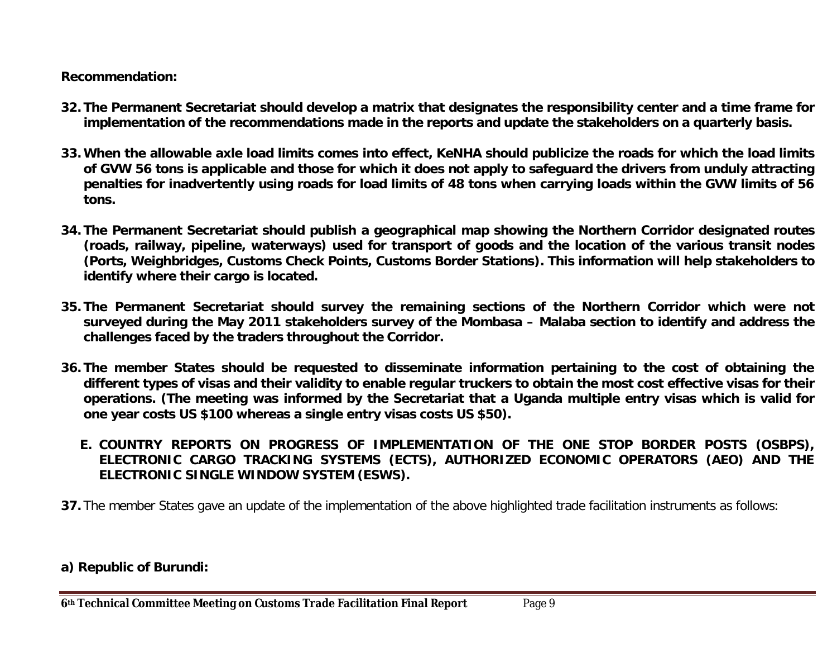### **Recommendation:**

- **32. The Permanent Secretariat should develop a matrix that designates the responsibility center and a time frame for implementation of the recommendations made in the reports and update the stakeholders on a quarterly basis.**
- **33. When the allowable axle load limits comes into effect, KeNHA should publicize the roads for which the load limits of GVW 56 tons is applicable and those for which it does not apply to safeguard the drivers from unduly attracting penalties for inadvertently using roads for load limits of 48 tons when carrying loads within the GVW limits of 56 tons.**
- **34. The Permanent Secretariat should publish a geographical map showing the Northern Corridor designated routes (roads, railway, pipeline, waterways) used for transport of goods and the location of the various transit nodes (Ports, Weighbridges, Customs Check Points, Customs Border Stations). This information will help stakeholders to identify where their cargo is located.**
- **35. The Permanent Secretariat should survey the remaining sections of the Northern Corridor which were not surveyed during the May 2011 stakeholders survey of the Mombasa – Malaba section to identify and address the challenges faced by the traders throughout the Corridor.**
- **36. The member States should be requested to disseminate information pertaining to the cost of obtaining the different types of visas and their validity to enable regular truckers to obtain the most cost effective visas for their operations. (The meeting was informed by the Secretariat that a Uganda multiple entry visas which is valid for one year costs US \$100 whereas a single entry visas costs US \$50).**
	- **E. COUNTRY REPORTS ON PROGRESS OF IMPLEMENTATION OF THE ONE STOP BORDER POSTS (OSBPS), ELECTRONIC CARGO TRACKING SYSTEMS (ECTS), AUTHORIZED ECONOMIC OPERATORS (AEO) AND THE ELECTRONIC SINGLE WINDOW SYSTEM (ESWS).**
- **37.** The member States gave an update of the implementation of the above highlighted trade facilitation instruments as follows:

## **a) Republic of Burundi:**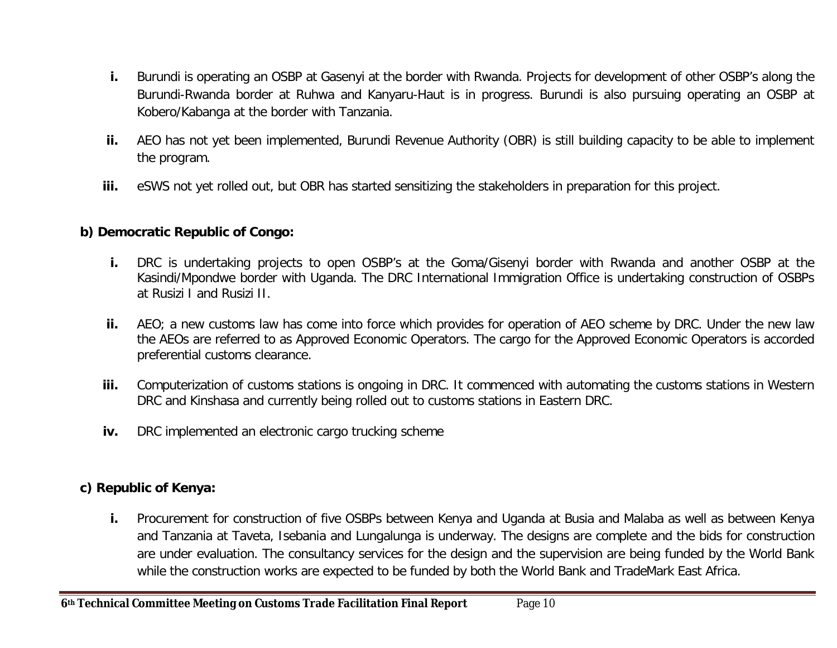- **i.** Burundi is operating an OSBP at Gasenyi at the border with Rwanda. Projects for development of other OSBP's along the Burundi-Rwanda border at Ruhwa and Kanyaru-Haut is in progress. Burundi is also pursuing operating an OSBP at Kobero/Kabanga at the border with Tanzania.
- **ii.** AEO has not yet been implemented, Burundi Revenue Authority (OBR) is still building capacity to be able to implement the program.
- **iii.** eSWS not yet rolled out, but OBR has started sensitizing the stakeholders in preparation for this project.

### **b) Democratic Republic of Congo:**

- **i.** DRC is undertaking projects to open OSBP's at the Goma/Gisenyi border with Rwanda and another OSBP at the Kasindi/Mpondwe border with Uganda. The DRC International Immigration Office is undertaking construction of OSBPs at Rusizi I and Rusizi II.
- **ii.** AEO; a new customs law has come into force which provides for operation of AEO scheme by DRC. Under the new law the AEOs are referred to as Approved Economic Operators. The cargo for the Approved Economic Operators is accorded preferential customs clearance.
- **iii.** Computerization of customs stations is ongoing in DRC. It commenced with automating the customs stations in Western DRC and Kinshasa and currently being rolled out to customs stations in Eastern DRC.
- **iv.** DRC implemented an electronic cargo trucking scheme

### **c) Republic of Kenya:**

**i.** Procurement for construction of five OSBPs between Kenya and Uganda at Busia and Malaba as well as between Kenya and Tanzania at Taveta, Isebania and Lungalunga is underway. The designs are complete and the bids for construction are under evaluation. The consultancy services for the design and the supervision are being funded by the World Bank while the construction works are expected to be funded by both the World Bank and TradeMark East Africa.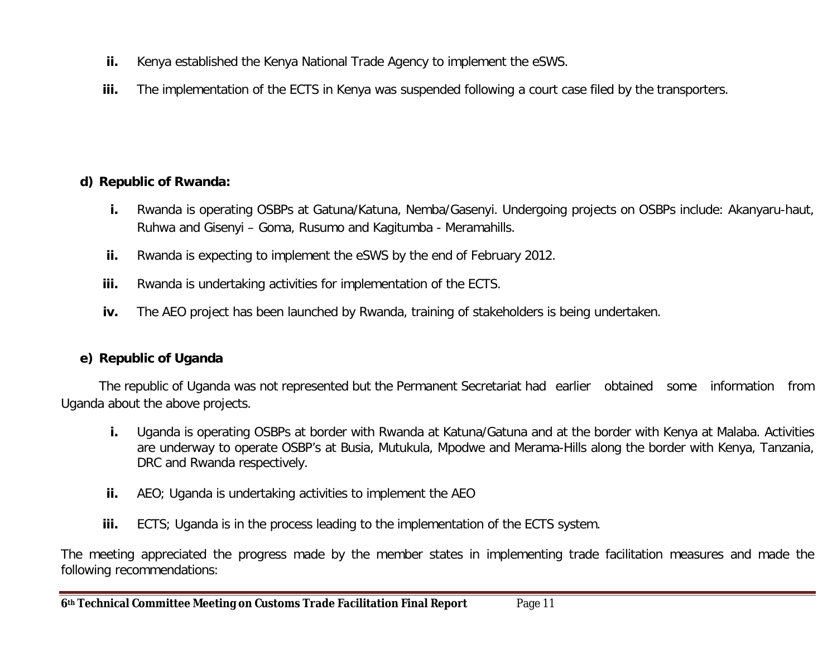- **ii.** Kenya established the Kenya National Trade Agency to implement the eSWS.
- **iii.** The implementation of the ECTS in Kenya was suspended following a court case filed by the transporters.

# **d) Republic of Rwanda:**

- **i.** Rwanda is operating OSBPs at Gatuna/Katuna, Nemba/Gasenyi. Undergoing projects on OSBPs include: Akanyaru-haut, Ruhwa and Gisenyi – Goma, Rusumo and Kagitumba - Meramahills.
- **ii.** Rwanda is expecting to implement the eSWS by the end of February 2012.
- **iii.** Rwanda is undertaking activities for implementation of the ECTS.
- **iv.** The AEO project has been launched by Rwanda, training of stakeholders is being undertaken.

# **e) Republic of Uganda**

The republic of Uganda was not represented but the Permanent Secretariat had earlier obtained some information from Uganda about the above projects.

- **i.** Uganda is operating OSBPs at border with Rwanda at Katuna/Gatuna and at the border with Kenya at Malaba. Activities are underway to operate OSBP's at Busia, Mutukula, Mpodwe and Merama-Hills along the border with Kenya, Tanzania, DRC and Rwanda respectively.
- **ii.** AEO; Uganda is undertaking activities to implement the AEO
- **iii.** ECTS; Uganda is in the process leading to the implementation of the ECTS system.

The meeting appreciated the progress made by the member states in implementing trade facilitation measures and made the following recommendations: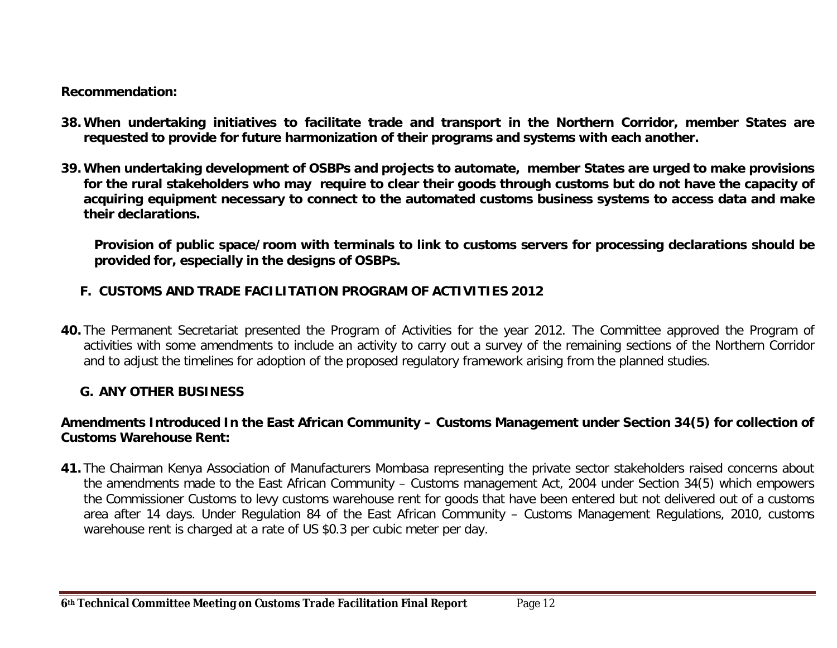## **Recommendation:**

- **38. When undertaking initiatives to facilitate trade and transport in the Northern Corridor, member States are requested to provide for future harmonization of their programs and systems with each another.**
- **39. When undertaking development of OSBPs and projects to automate, member States are urged to make provisions for the rural stakeholders who may require to clear their goods through customs but do not have the capacity of acquiring equipment necessary to connect to the automated customs business systems to access data and make their declarations.**

 **Provision of public space/room with terminals to link to customs servers for processing declarations should be provided for, especially in the designs of OSBPs.**

# **F. CUSTOMS AND TRADE FACILITATION PROGRAM OF ACTIVITIES 2012**

**40.** The Permanent Secretariat presented the Program of Activities for the year 2012. The Committee approved the Program of activities with some amendments to include an activity to carry out a survey of the remaining sections of the Northern Corridor and to adjust the timelines for adoption of the proposed regulatory framework arising from the planned studies.

## **G. ANY OTHER BUSINESS**

### **Amendments Introduced In the East African Community – Customs Management under Section 34(5) for collection of Customs Warehouse Rent:**

**41.** The Chairman Kenya Association of Manufacturers Mombasa representing the private sector stakeholders raised concerns about the amendments made to the East African Community – Customs management Act, 2004 under Section 34(5) which empowers the Commissioner Customs to levy customs warehouse rent for goods that have been entered but not delivered out of a customs area after 14 days. Under Regulation 84 of the East African Community – Customs Management Regulations, 2010, customs warehouse rent is charged at a rate of US \$0.3 per cubic meter per day.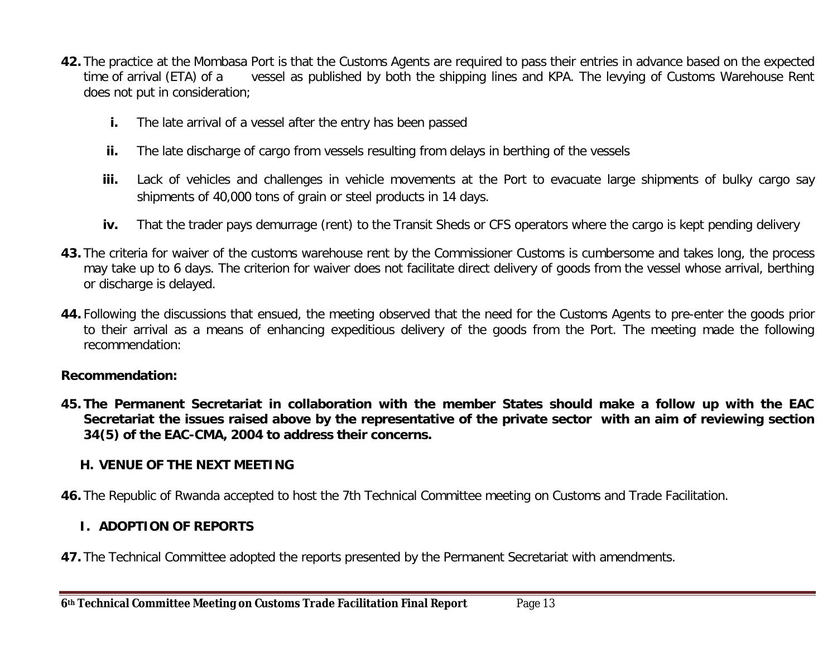- **42.** The practice at the Mombasa Port is that the Customs Agents are required to pass their entries in advance based on the expected time of arrival (ETA) of a vessel as published by both the shipping lines and KPA. The levying of Customs Warehouse Rent does not put in consideration;
	- **i.** The late arrival of a vessel after the entry has been passed
	- **ii.** The late discharge of cargo from vessels resulting from delays in berthing of the vessels
	- **iii.** Lack of vehicles and challenges in vehicle movements at the Port to evacuate large shipments of bulky cargo say shipments of 40,000 tons of grain or steel products in 14 days.
	- **iv.** That the trader pays demurrage (rent) to the Transit Sheds or CFS operators where the cargo is kept pending delivery
- **43.** The criteria for waiver of the customs warehouse rent by the Commissioner Customs is cumbersome and takes long, the process may take up to 6 days. The criterion for waiver does not facilitate direct delivery of goods from the vessel whose arrival, berthing or discharge is delayed.
- **44.** Following the discussions that ensued, the meeting observed that the need for the Customs Agents to pre-enter the goods prior to their arrival as a means of enhancing expeditious delivery of the goods from the Port. The meeting made the following recommendation:

### **Recommendation:**

**45. The Permanent Secretariat in collaboration with the member States should make a follow up with the EAC Secretariat the issues raised above by the representative of the private sector with an aim of reviewing section 34(5) of the EAC-CMA, 2004 to address their concerns.**

### **H. VENUE OF THE NEXT MEETING**

**46.** The Republic of Rwanda accepted to host the 7th Technical Committee meeting on Customs and Trade Facilitation.

# **I. ADOPTION OF REPORTS**

**47.** The Technical Committee adopted the reports presented by the Permanent Secretariat with amendments.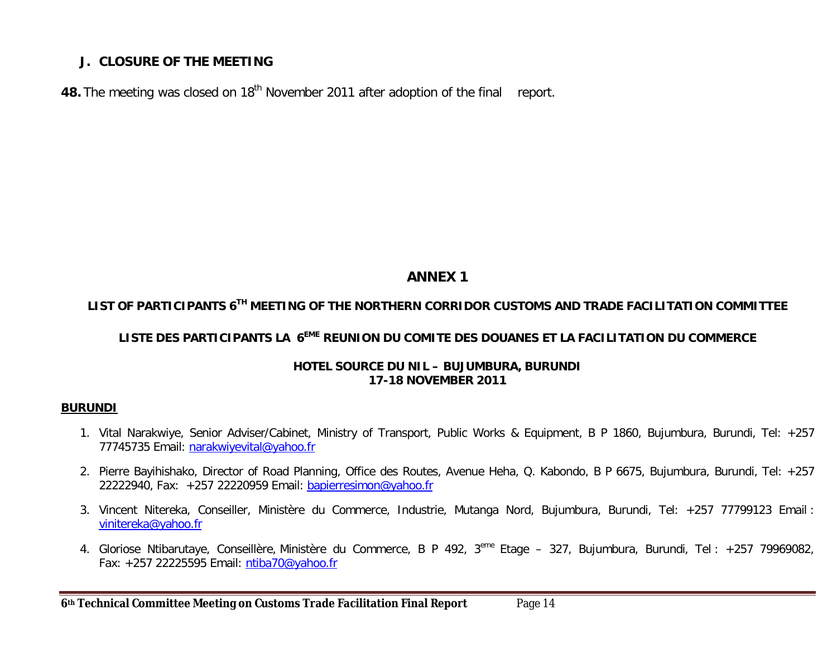## **J. CLOSURE OF THE MEETING**

**48.** The meeting was closed on 18<sup>th</sup> November 2011 after adoption of the final report.

# *ANNEX 1*

# **LIST OF PARTICIPANTS 6TH MEETING OF THE NORTHERN CORRIDOR CUSTOMS AND TRADE FACILITATION COMMITTEE**

### **LISTE DES PARTICIPANTS LA 6EME REUNION DU COMITE DES DOUANES ET LA FACILITATION DU COMMERCE**

#### **HOTEL SOURCE DU NIL – BUJUMBURA, BURUNDI 17-18 NOVEMBER 2011**

#### **BURUNDI**

- 1. Vital Narakwiye, Senior Adviser/Cabinet, Ministry of Transport, Public Works & Equipment, B P 1860, Bujumbura, Burundi, Tel: +257 77745735 Email: narakwiyevital@yahoo.fr
- 2. Pierre Bayihishako, Director of Road Planning, Office des Routes, Avenue Heha, Q. Kabondo, B P 6675, Bujumbura, Burundi, Tel: +257 22222940, Fax: +257 22220959 Email: bapierresimon@yahoo.fr
- 3. Vincent Nitereka, Conseiller, Ministère du Commerce, Industrie, Mutanga Nord, Bujumbura, Burundi, Tel: +257 77799123 Email : vinitereka@yahoo.fr
- 4. Gloriose Ntibarutaye, Conseillère, Ministère du Commerce, B P 492, 3<sup>eme</sup> Etage 327, Bujumbura, Burundi, Tel : +257 79969082, Fax: +257 22225595 Email: ntiba70@yahoo.fr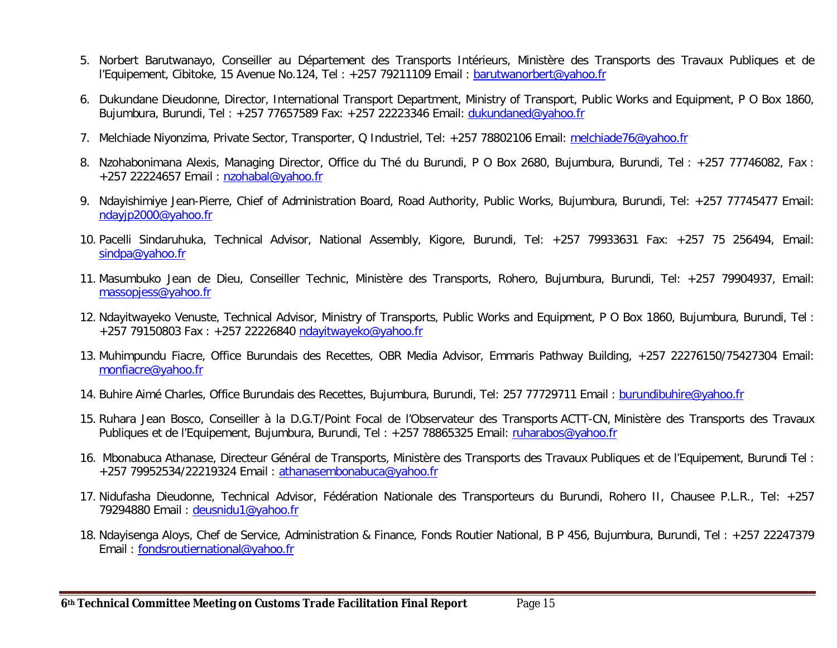- 5. Norbert Barutwanayo, Conseiller au Département des Transports Intérieurs, Ministère des Transports des Travaux Publiques et de l'Equipement, Cibitoke, 15 Avenue No.124, Tel : +257 79211109 Email : barutwanorbert@yahoo.fr
- 6. Dukundane Dieudonne, Director, International Transport Department, Ministry of Transport, Public Works and Equipment, P O Box 1860, Bujumbura, Burundi, Tel : +257 77657589 Fax: +257 22223346 Email: dukundaned@yahoo.fr
- 7. Melchiade Niyonzima, Private Sector, Transporter, Q Industriel, Tel: +257 78802106 Email: melchiade76@yahoo.fr
- 8. Nzohabonimana Alexis, Managing Director, Office du Thé du Burundi, P O Box 2680, Bujumbura, Burundi, Tel : +257 77746082, Fax : +257 22224657 Email : nzohabal@yahoo.fr
- 9. Ndayishimiye Jean-Pierre, Chief of Administration Board, Road Authority, Public Works, Bujumbura, Burundi, Tel: +257 77745477 Email: ndayjp2000@yahoo.fr
- 10. Pacelli Sindaruhuka, Technical Advisor, National Assembly, Kigore, Burundi, Tel: +257 79933631 Fax: +257 75 256494, Email: sindpa@yahoo.fr
- 11. Masumbuko Jean de Dieu, Conseiller Technic, Ministère des Transports, Rohero, Bujumbura, Burundi, Tel: +257 79904937, Email: massopjess@yahoo.fr
- 12. Ndayitwayeko Venuste, Technical Advisor, Ministry of Transports, Public Works and Equipment, P O Box 1860, Bujumbura, Burundi, Tel : +257 79150803 Fax : +257 22226840 ndayitwayeko@yahoo.fr
- 13. Muhimpundu Fiacre, Office Burundais des Recettes, OBR Media Advisor, Emmaris Pathway Building, +257 22276150/75427304 Email: monfiacre@yahoo.fr
- 14. Buhire Aimé Charles, Office Burundais des Recettes, Bujumbura, Burundi, Tel: 257 77729711 Email : burundibuhire@yahoo.fr
- 15. Ruhara Jean Bosco, Conseiller à la D.G.T/Point Focal de l'Observateur des Transports ACTT-CN, Ministère des Transports des Travaux Publiques et de l'Equipement, Bujumbura, Burundi, Tel : +257 78865325 Email: ruharabos@yahoo.fr
- 16. Mbonabuca Athanase, Directeur Général de Transports, Ministère des Transports des Travaux Publiques et de l'Equipement, Burundi Tel : +257 79952534/22219324 Email : athanasembonabuca@yahoo.fr
- 17. Nidufasha Dieudonne, Technical Advisor, Fédération Nationale des Transporteurs du Burundi, Rohero II, Chausee P.L.R., Tel: +257 79294880 Email : deusnidu1@yahoo.fr
- 18. Ndayisenga Aloys, Chef de Service, Administration & Finance, Fonds Routier National, B P 456, Bujumbura, Burundi, Tel : +257 22247379 Email : fondsroutiernational@yahoo.fr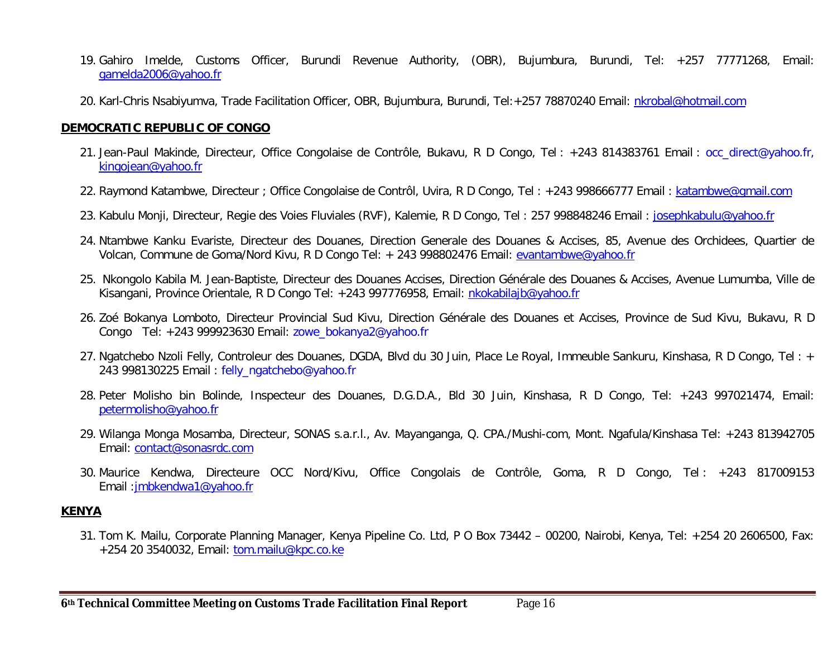- 19. Gahiro Imelde, Customs Officer, Burundi Revenue Authority, (OBR), Bujumbura, Burundi, Tel: +257 77771268, Email: gamelda2006@yahoo.fr
- 20. Karl-Chris Nsabiyumva, Trade Facilitation Officer, OBR, Bujumbura, Burundi, Tel:+257 78870240 Email: nkrobal@hotmail.com

#### **DEMOCRATIC REPUBLIC OF CONGO**

- 21. Jean-Paul Makinde, Directeur, Office Congolaise de Contrôle, Bukavu, R D Congo, Tel : +243 814383761 Email : occ\_direct@yahoo.fr, kingojean@yahoo.fr
- 22. Raymond Katambwe, Directeur ; Office Congolaise de Contrôl, Uvira, R D Congo, Tel : +243 998666777 Email : katambwe@gmail.com
- 23. Kabulu Monji, Directeur, Regie des Voies Fluviales (RVF), Kalemie, R D Congo, Tel : 257 998848246 Email : josephkabulu@yahoo.fr
- 24. Ntambwe Kanku Evariste, Directeur des Douanes, Direction Generale des Douanes & Accises, 85, Avenue des Orchidees, Quartier de Volcan, Commune de Goma/Nord Kivu, R D Congo Tel: + 243 998802476 Email: evantambwe@yahoo.fr
- 25. Nkongolo Kabila M. Jean-Baptiste, Directeur des Douanes Accises, Direction Générale des Douanes & Accises, Avenue Lumumba, Ville de Kisangani, Province Orientale, R D Congo Tel: +243 997776958, Email: nkokabilajb@yahoo.fr
- 26. Zoé Bokanya Lomboto, Directeur Provincial Sud Kivu, Direction Générale des Douanes et Accises, Province de Sud Kivu, Bukavu, R D Congo Tel: +243 999923630 Email: zowe\_bokanya2@yahoo.fr
- 27. Ngatchebo Nzoli Felly, Controleur des Douanes, DGDA, Blvd du 30 Juin, Place Le Royal, Immeuble Sankuru, Kinshasa, R D Congo, Tel : + 243 998130225 Email: felly\_ngatchebo@yahoo.fr
- 28. Peter Molisho bin Bolinde, Inspecteur des Douanes, D.G.D.A., Bld 30 Juin, Kinshasa, R D Congo, Tel: +243 997021474, Email: petermolisho@yahoo.fr
- 29. Wilanga Monga Mosamba, Directeur, SONAS s.a.r.l., Av. Mayanganga, Q. CPA./Mushi-com, Mont. Ngafula/Kinshasa Tel: +243 813942705 Email: contact@sonasrdc.com
- 30. Maurice Kendwa, Directeure OCC Nord/Kivu, Office Congolais de Contrôle, Goma, R D Congo, Tel : +243 817009153 Email :jmbkendwa1@yahoo.fr

#### **KENYA**

31. Tom K. Mailu, Corporate Planning Manager, Kenya Pipeline Co. Ltd, P O Box 73442 – 00200, Nairobi, Kenya, Tel: +254 20 2606500, Fax: +254 20 3540032, Email: tom.mailu@kpc.co.ke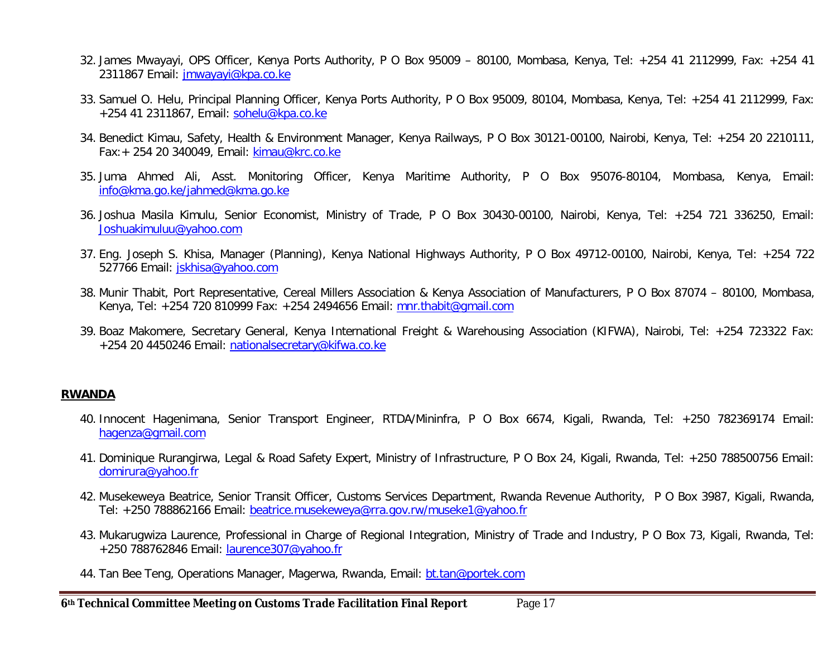- 32. James Mwayayi, OPS Officer, Kenya Ports Authority, P O Box 95009 80100, Mombasa, Kenya, Tel: +254 41 2112999, Fax: +254 41 2311867 Email: jmwayayi@kpa.co.ke
- 33. Samuel O. Helu, Principal Planning Officer, Kenya Ports Authority, P O Box 95009, 80104, Mombasa, Kenya, Tel: +254 41 2112999, Fax: +254 41 2311867, Email: sohelu@kpa.co.ke
- 34. Benedict Kimau, Safety, Health & Environment Manager, Kenya Railways, P O Box 30121-00100, Nairobi, Kenya, Tel: +254 20 2210111, Fax:+ 254 20 340049, Email: kimau@krc.co.ke
- 35. Juma Ahmed Ali, Asst. Monitoring Officer, Kenya Maritime Authority, P O Box 95076-80104, Mombasa, Kenya, Email: info@kma.go.ke/jahmed@kma.go.ke
- 36. Joshua Masila Kimulu, Senior Economist, Ministry of Trade, P O Box 30430-00100, Nairobi, Kenya, Tel: +254 721 336250, Email: Joshuakimuluu@yahoo.com
- 37. Eng. Joseph S. Khisa, Manager (Planning), Kenya National Highways Authority, P O Box 49712-00100, Nairobi, Kenya, Tel: +254 722 527766 Email: jskhisa@yahoo.com
- 38. Munir Thabit, Port Representative, Cereal Millers Association & Kenya Association of Manufacturers, P O Box 87074 80100, Mombasa, Kenya, Tel: +254 720 810999 Fax: +254 2494656 Email: mnr.thabit@gmail.com
- 39. Boaz Makomere, Secretary General, Kenya International Freight & Warehousing Association (KIFWA), Nairobi, Tel: +254 723322 Fax: +254 20 4450246 Email: nationalsecretary@kifwa.co.ke

#### **RWANDA**

- 40. Innocent Hagenimana, Senior Transport Engineer, RTDA/Mininfra, P O Box 6674, Kigali, Rwanda, Tel: +250 782369174 Email: hagenza@gmail.com
- 41. Dominique Rurangirwa, Legal & Road Safety Expert, Ministry of Infrastructure, P O Box 24, Kigali, Rwanda, Tel: +250 788500756 Email: domirura@yahoo.fr
- 42. Musekeweya Beatrice, Senior Transit Officer, Customs Services Department, Rwanda Revenue Authority, P O Box 3987, Kigali, Rwanda, Tel: +250 788862166 Email: beatrice.musekeweya@rra.gov.rw/museke1@yahoo.fr
- 43. Mukarugwiza Laurence, Professional in Charge of Regional Integration, Ministry of Trade and Industry, P O Box 73, Kigali, Rwanda, Tel: +250 788762846 Email: laurence307@yahoo.fr
- 44. Tan Bee Teng, Operations Manager, Magerwa, Rwanda, Email: bt.tan@portek.com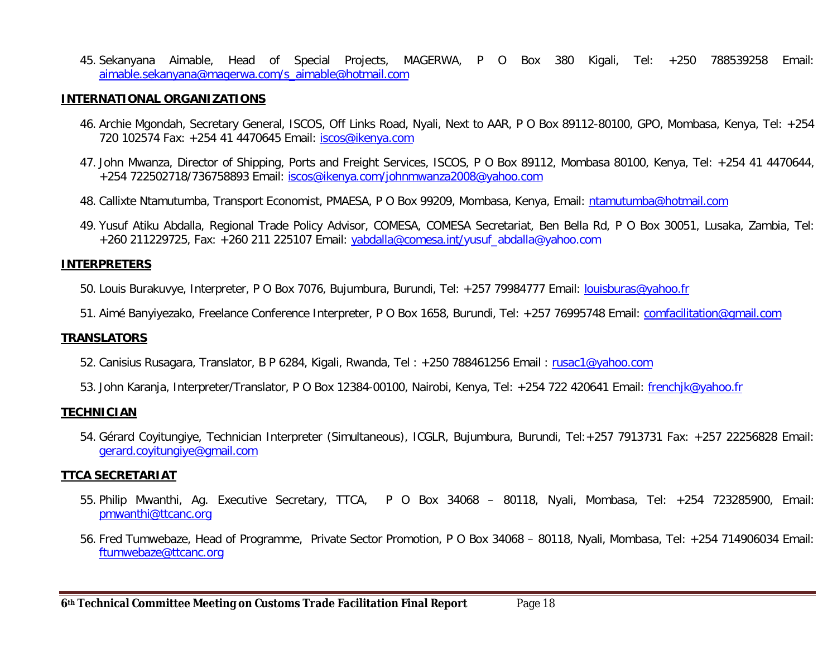45. Sekanyana Aimable, Head of Special Projects, MAGERWA, P O Box 380 Kigali, Tel: +250 788539258 Email: aimable.sekanyana@magerwa.com/s\_aimable@hotmail.com

#### **INTERNATIONAL ORGANIZATIONS**

- 46. Archie Mgondah, Secretary General, ISCOS, Off Links Road, Nyali, Next to AAR, P O Box 89112-80100, GPO, Mombasa, Kenya, Tel: +254 720 102574 Fax: +254 41 4470645 Email: iscos@ikenya.com
- 47. John Mwanza, Director of Shipping, Ports and Freight Services, ISCOS, P O Box 89112, Mombasa 80100, Kenya, Tel: +254 41 4470644, +254 722502718/736758893 Email: iscos@ikenya.com/johnmwanza2008@yahoo.com
- 48. Callixte Ntamutumba, Transport Economist, PMAESA, P O Box 99209, Mombasa, Kenya, Email: ntamutumba@hotmail.com
- 49. Yusuf Atiku Abdalla, Regional Trade Policy Advisor, COMESA, COMESA Secretariat, Ben Bella Rd, P O Box 30051, Lusaka, Zambia, Tel: +260 211229725, Fax: +260 211 225107 Email: yabdalla@comesa.int/yusuf\_abdalla@yahoo.com

#### **INTERPRETERS**

- 50. Louis Burakuvye, Interpreter, P O Box 7076, Bujumbura, Burundi, Tel: +257 79984777 Email: louisburas@yahoo.fr
- 51. Aimé Banyiyezako, Freelance Conference Interpreter, P O Box 1658, Burundi, Tel: +257 76995748 Email: comfacilitation@gmail.com

#### **TRANSLATORS**

- 52. Canisius Rusagara, Translator, B P 6284, Kigali, Rwanda, Tel : +250 788461256 Email : rusac1@yahoo.com
- 53. John Karanja, Interpreter/Translator, P O Box 12384-00100, Nairobi, Kenya, Tel: +254 722 420641 Email: frenchjk@yahoo.fr

#### **TECHNICIAN**

54. Gérard Coyitungiye, Technician Interpreter (Simultaneous), ICGLR, Bujumbura, Burundi, Tel:+257 7913731 Fax: +257 22256828 Email: gerard.coyitungiye@gmail.com

#### **TTCA SECRETARIAT**

- 55. Philip Mwanthi, Ag. Executive Secretary, TTCA, P O Box 34068 80118, Nyali, Mombasa, Tel: +254 723285900, Email: pmwanthi@ttcanc.org
- 56. Fred Tumwebaze, Head of Programme, Private Sector Promotion, P O Box 34068 80118, Nyali, Mombasa, Tel: +254 714906034 Email: ftumwebaze@ttcanc.org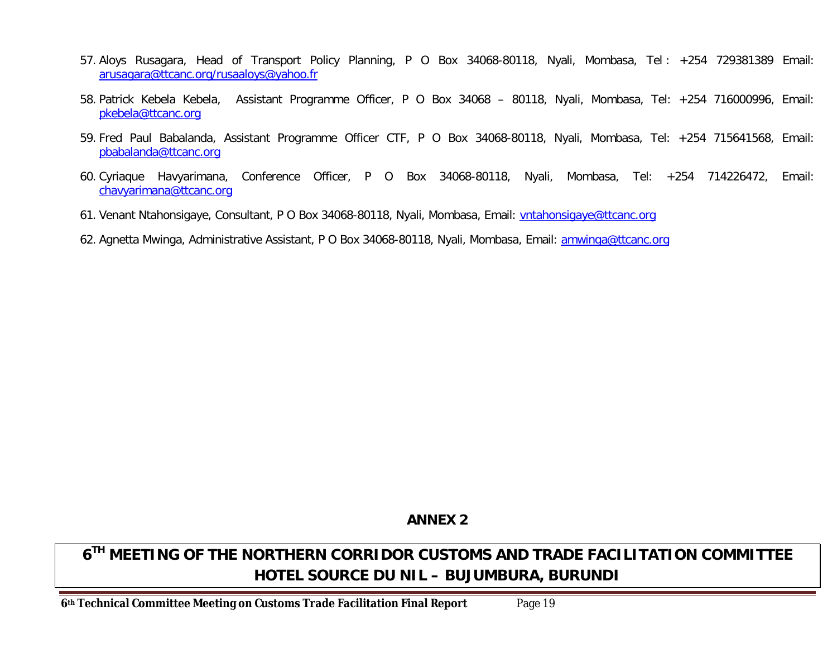- 57. Aloys Rusagara, Head of Transport Policy Planning, P O Box 34068-80118, Nyali, Mombasa, Tel : +254 729381389 Email: arusagara@ttcanc.org/rusaaloys@yahoo.fr
- 58. Patrick Kebela Kebela, Assistant Programme Officer, P O Box 34068 80118, Nyali, Mombasa, Tel: +254 716000996, Email: pkebela@ttcanc.org
- 59. Fred Paul Babalanda, Assistant Programme Officer CTF, P O Box 34068-80118, Nyali, Mombasa, Tel: +254 715641568, Email: pbabalanda@ttcanc.org
- 60. Cyriaque Havyarimana, Conference Officer, P O Box 34068-80118, Nyali, Mombasa, Tel: +254 714226472, Email: chavyarimana@ttcanc.org
- 61. Venant Ntahonsigaye, Consultant, P O Box 34068-80118, Nyali, Mombasa, Email: vntahonsigaye@ttcanc.org
- 62. Agnetta Mwinga, Administrative Assistant, P O Box 34068-80118, Nyali, Mombasa, Email: amwinga@ttcanc.org

*ANNEX 2*

# **6 TH MEETING OF THE NORTHERN CORRIDOR CUSTOMS AND TRADE FACILITATION COMMITTEE HOTEL SOURCE DU NIL – BUJUMBURA, BURUNDI**

**6th Technical Committee Meeting on Customs Trade Facilitation Final Report** Page 19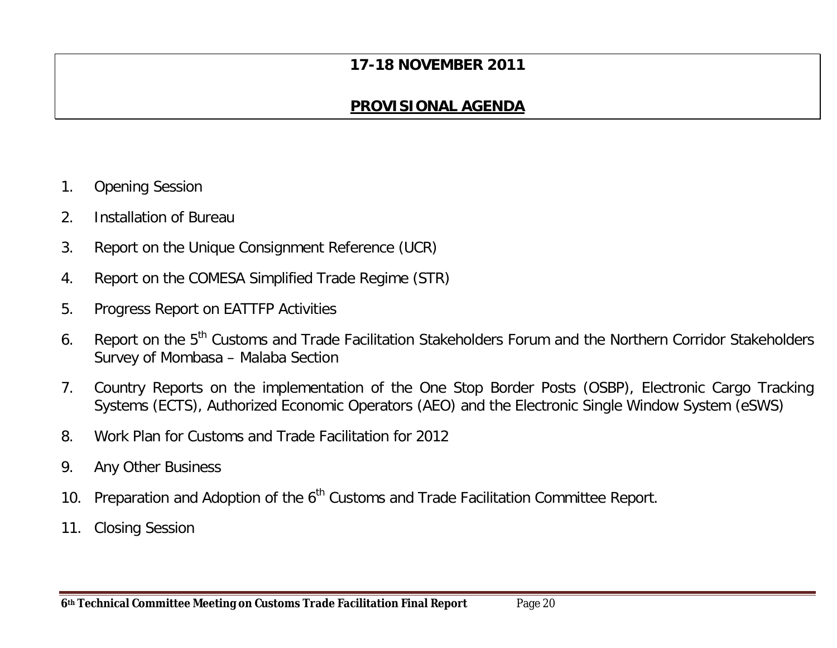# **17-18 NOVEMBER 2011**

# **PROVISIONAL AGENDA**

- 1. Opening Session
- 2. Installation of Bureau
- 3. Report on the Unique Consignment Reference (UCR)
- 4. Report on the COMESA Simplified Trade Regime (STR)
- 5. Progress Report on EATTFP Activities
- 6. Report on the 5<sup>th</sup> Customs and Trade Facilitation Stakeholders Forum and the Northern Corridor Stakeholders Survey of Mombasa – Malaba Section
- 7. Country Reports on the implementation of the One Stop Border Posts (OSBP), Electronic Cargo Tracking Systems (ECTS), Authorized Economic Operators (AEO) and the Electronic Single Window System (eSWS)
- 8. Work Plan for Customs and Trade Facilitation for 2012
- 9. Any Other Business
- 10. Preparation and Adoption of the 6<sup>th</sup> Customs and Trade Facilitation Committee Report.
- 11. Closing Session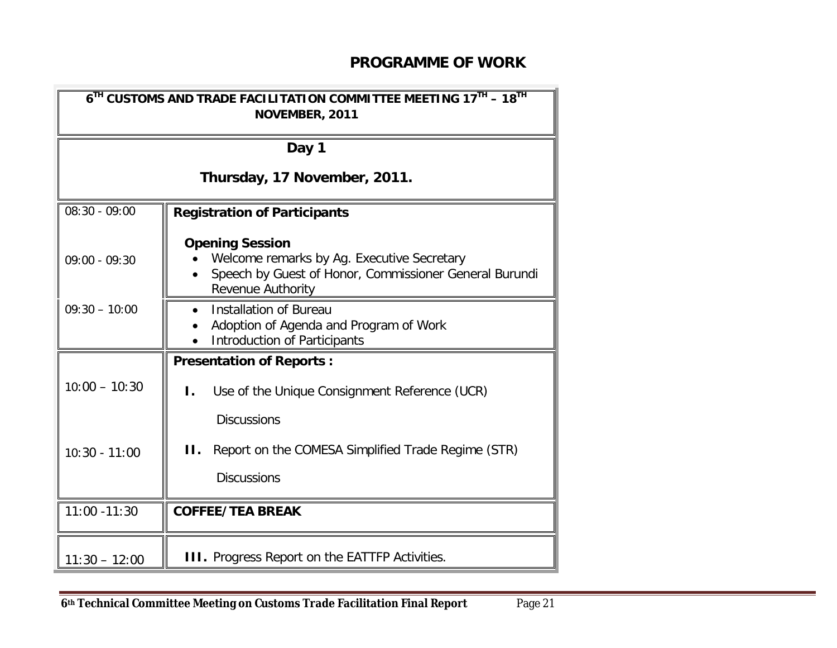# **PROGRAMME OF WORK**

| $6^{TH}$ CUSTOMS AND TRADE FACILITATION COMMITTEE MEETING 17 <sup>TH</sup> - 18 <sup>TH</sup><br>NOVEMBER, 2011 |                                                                                                                                                     |  |
|-----------------------------------------------------------------------------------------------------------------|-----------------------------------------------------------------------------------------------------------------------------------------------------|--|
| Day 1                                                                                                           |                                                                                                                                                     |  |
| Thursday, 17 November, 2011.                                                                                    |                                                                                                                                                     |  |
| $08:30 - 09:00$                                                                                                 | <b>Registration of Participants</b>                                                                                                                 |  |
| $09:00 - 09:30$                                                                                                 | <b>Opening Session</b><br>Welcome remarks by Ag. Executive Secretary<br>Speech by Guest of Honor, Commissioner General Burundi<br>Revenue Authority |  |
| $09:30 - 10:00$                                                                                                 | <b>Installation of Bureau</b><br>Adoption of Agenda and Program of Work<br><b>Introduction of Participants</b>                                      |  |
|                                                                                                                 | <b>Presentation of Reports:</b>                                                                                                                     |  |
| $10:00 - 10:30$                                                                                                 | $\mathbf{I}$ .<br>Use of the Unique Consignment Reference (UCR)<br><b>Discussions</b>                                                               |  |
| $10:30 - 11:00$                                                                                                 | П.<br>Report on the COMESA Simplified Trade Regime (STR)<br><b>Discussions</b>                                                                      |  |
| $11:00 - 11:30$                                                                                                 | <b>COFFEE/TEA BREAK</b>                                                                                                                             |  |
| $11:30 - 12:00$                                                                                                 | <b>III.</b> Progress Report on the EATTFP Activities.                                                                                               |  |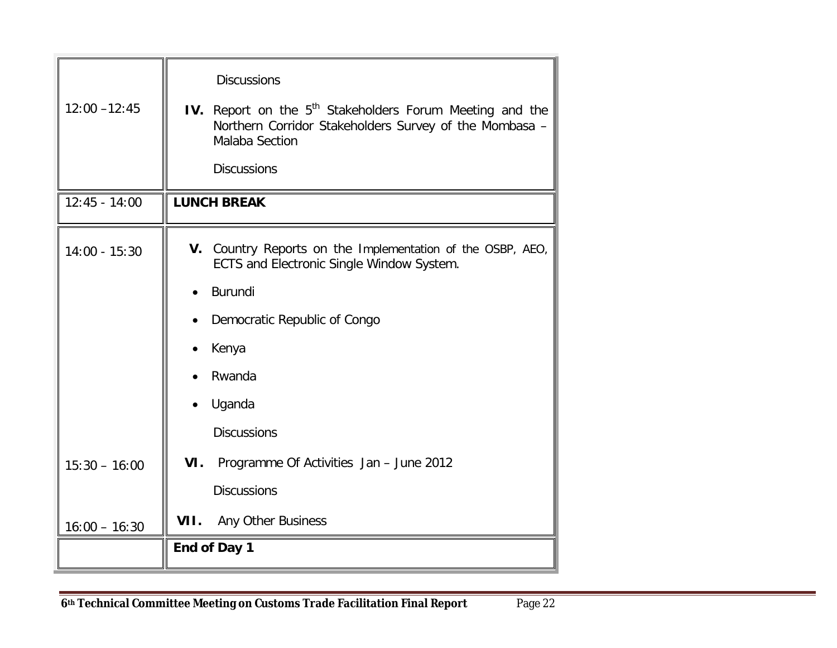| $12:00 - 12:45$ | <b>Discussions</b><br>IV. Report on the 5 <sup>th</sup> Stakeholders Forum Meeting and the<br>Northern Corridor Stakeholders Survey of the Mombasa -<br>Malaba Section<br><b>Discussions</b> |
|-----------------|----------------------------------------------------------------------------------------------------------------------------------------------------------------------------------------------|
| $12:45 - 14:00$ | <b>LUNCH BREAK</b>                                                                                                                                                                           |
| $14:00 - 15:30$ | V. Country Reports on the Implementation of the OSBP, AEO,<br>ECTS and Electronic Single Window System.                                                                                      |
|                 | Burundi                                                                                                                                                                                      |
|                 | Democratic Republic of Congo                                                                                                                                                                 |
|                 | Kenya                                                                                                                                                                                        |
|                 | Rwanda                                                                                                                                                                                       |
|                 | Uganda                                                                                                                                                                                       |
|                 | <b>Discussions</b>                                                                                                                                                                           |
| $15:30 - 16:00$ | VI.<br>Programme Of Activities Jan - June 2012                                                                                                                                               |
|                 | <b>Discussions</b>                                                                                                                                                                           |
| $16:00 - 16:30$ | VII.<br>Any Other Business                                                                                                                                                                   |
|                 | End of Day 1                                                                                                                                                                                 |